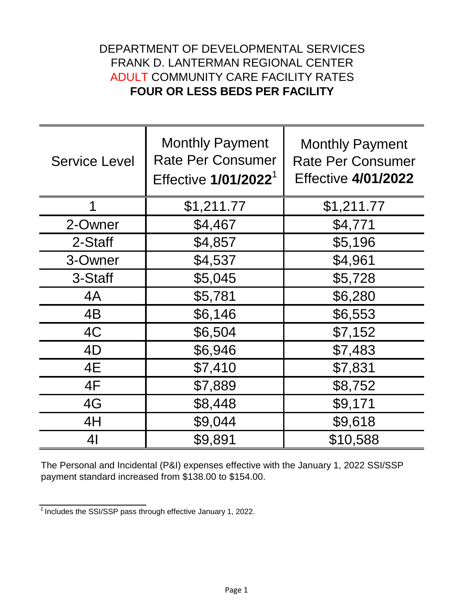## DEPARTMENT OF DEVELOPMENTAL SERVICES FRANK D. LANTERMAN REGIONAL CENTER ADULT COMMUNITY CARE FACILITY RATES **FOUR OR LESS BEDS PER FACILITY**

| <b>Service Level</b> | <b>Monthly Payment</b><br><b>Rate Per Consumer</b><br>Effective 1/01/2022 <sup>1</sup> | <b>Monthly Payment</b><br><b>Rate Per Consumer</b><br><b>Effective 4/01/2022</b> |
|----------------------|----------------------------------------------------------------------------------------|----------------------------------------------------------------------------------|
|                      | \$1,211.77                                                                             | \$1,211.77                                                                       |
| 2-Owner              | \$4,467                                                                                | \$4,771                                                                          |
| 2-Staff              | \$4,857                                                                                | \$5,196                                                                          |
| 3-Owner              | \$4,537                                                                                | \$4,961                                                                          |
| 3-Staff              | \$5,045                                                                                | \$5,728                                                                          |
| 4A                   | \$5,781                                                                                | \$6,280                                                                          |
| 4B                   | \$6,146                                                                                | \$6,553                                                                          |
| 4C                   | \$6,504                                                                                | \$7,152                                                                          |
| 4D                   | \$6,946                                                                                | \$7,483                                                                          |
| 4E                   | \$7,410                                                                                | \$7,831                                                                          |
| 4F                   | \$7,889                                                                                | \$8,752                                                                          |
| 4G                   | \$8,448                                                                                | \$9,171                                                                          |
| 4H                   | \$9,044                                                                                | \$9,618                                                                          |
| 41                   | \$9,891                                                                                | \$10,588                                                                         |

The Personal and Incidental (P&I) expenses effective with the January 1, 2022 SSI/SSP payment standard increased from \$138.00 to \$154.00.

 $\frac{1}{1}$  Includes the SSI/SSP pass through effective January 1, 2022.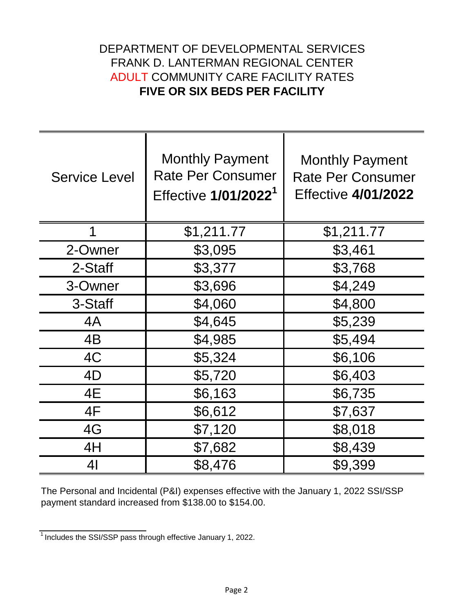## DEPARTMENT OF DEVELOPMENTAL SERVICES FRANK D. LANTERMAN REGIONAL CENTER ADULT COMMUNITY CARE FACILITY RATES **FIVE OR SIX BEDS PER FACILITY**

| <b>Service Level</b> | <b>Monthly Payment</b><br><b>Rate Per Consumer</b><br>Effective 1/01/2022 <sup>1</sup> | <b>Monthly Payment</b><br><b>Rate Per Consumer</b><br><b>Effective 4/01/2022</b> |
|----------------------|----------------------------------------------------------------------------------------|----------------------------------------------------------------------------------|
| 1                    | \$1,211.77                                                                             | \$1,211.77                                                                       |
| 2-Owner              | \$3,095                                                                                | \$3,461                                                                          |
| 2-Staff              | \$3,377                                                                                | \$3,768                                                                          |
| 3-Owner              | \$3,696                                                                                | \$4,249                                                                          |
| 3-Staff              | \$4,060                                                                                | \$4,800                                                                          |
| 4A                   | \$4,645                                                                                | \$5,239                                                                          |
| 4B                   | \$4,985                                                                                | \$5,494                                                                          |
| 4C                   | \$5,324                                                                                | \$6,106                                                                          |
| 4D                   | \$5,720                                                                                | \$6,403                                                                          |
| 4E                   | \$6,163                                                                                | \$6,735                                                                          |
| 4F                   | \$6,612                                                                                | \$7,637                                                                          |
| 4G                   | \$7,120                                                                                | \$8,018                                                                          |
| 4H                   | \$7,682                                                                                | \$8,439                                                                          |
| 41                   | \$8,476                                                                                | \$9,399                                                                          |

The Personal and Incidental (P&I) expenses effective with the January 1, 2022 SSI/SSP payment standard increased from \$138.00 to \$154.00.

 $\frac{1}{1}$  Includes the SSI/SSP pass through effective January 1, 2022.